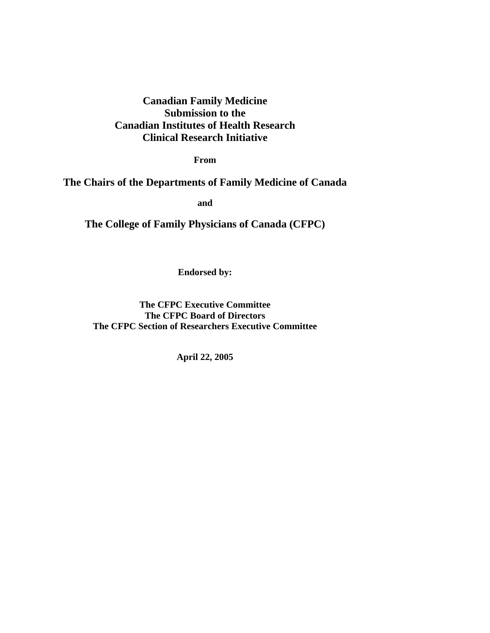# **Canadian Family Medicine Submission to the Canadian Institutes of Health Research Clinical Research Initiative**

**From** 

## **The Chairs of the Departments of Family Medicine of Canada**

**and** 

**The College of Family Physicians of Canada (CFPC)** 

**Endorsed by:** 

**The CFPC Executive Committee The CFPC Board of Directors The CFPC Section of Researchers Executive Committee** 

**April 22, 2005**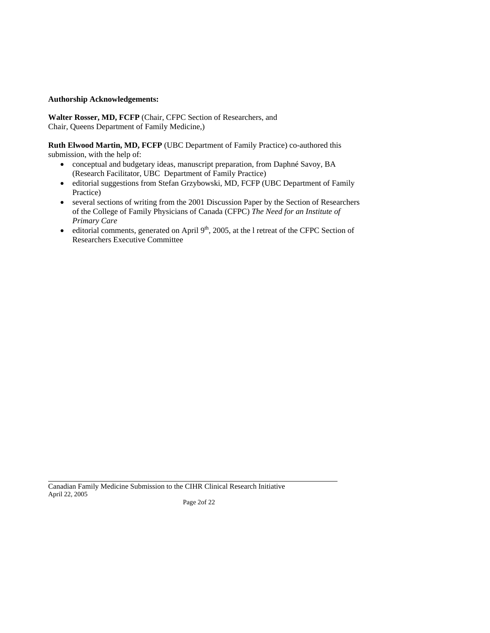### **Authorship Acknowledgements:**

 Chair, Queens Department of Family Medicine,) **Walter Rosser, MD, FCFP** (Chair, CFPC Section of Researchers, and

**Ruth Elwood Martin, MD, FCFP** (UBC Department of Family Practice) co-authored this submission, with the help of:

- conceptual and budgetary ideas, manuscript preparation, from Daphné Savoy, BA (Research Facilitator, UBC Department of Family Practice)
- editorial suggestions from Stefan Grzybowski, MD, FCFP (UBC Department of Family Practice)
- of the College of Family Physicians of Canada (CFPC) *The Need for an Institute of Primary Care* • several sections of writing from the 2001 Discussion Paper by the Section of Researchers
- editorial comments, generated on April  $9<sup>th</sup>$ , 2005, at the l retreat of the CFPC Section of Researchers Executive Committee

 Canadian Family Medicine Submission to the CIHR Clinical Research Initiative April 22, 2005

 $\overline{a}$ 

Page 2of 22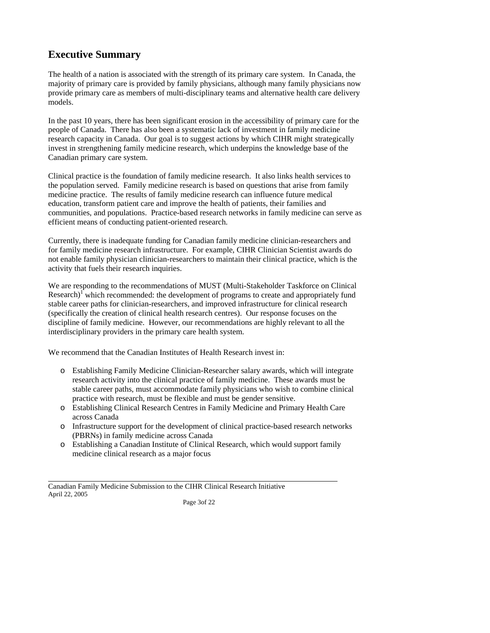## **Executive Summary**

 The health of a nation is associated with the strength of its primary care system. In Canada, the provide primary care as members of multi-disciplinary teams and alternative health care delivery majority of primary care is provided by family physicians, although many family physicians now models.

In the past 10 years, there has been significant erosion in the accessibility of primary care for the people of Canada. There has also been a systematic lack of investment in family medicine research capacity in Canada. Our goal is to suggest actions by which CIHR might strategically invest in strengthening family medicine research, which underpins the knowledge base of the Canadian primary care system.

Clinical practice is the foundation of family medicine research. It also links health services to the population served. Family medicine research is based on questions that arise from family medicine practice. The results of family medicine research can influence future medical education, transform patient care and improve the health of patients, their families and communities, and populations. Practice-based research networks in family medicine can serve as efficient means of conducting patient-oriented research.

Currently, there is inadequate funding for Canadian family medicine clinician-researchers and for family medicine research infrastructure. For example, CIHR Clinician Scientist awards do not enable family physician clinician-researchers to maintain their clinical practice, which is the activity that fuels their research inquiries.

Research)<sup> $\int$ </sup> which recommended: the development of programs to create and appropriately fund stable career paths for clinician-researchers, and improved infrastructure for clinical research We are responding to the recommendations of MUST (Multi-Stakeholder Taskforce on Clinical (specifically the creation of clinical health research centres). Our response focuses on the discipline of family medicine. However, our recommendations are highly relevant to all the interdisciplinary providers in the primary care health system.

We recommend that the Canadian Institutes of Health Research invest in:

- stable career paths, must accommodate family physicians who wish to combine clinical practice with research, must be flexible and must be gender sensitive. o Establishing Family Medicine Clinician-Researcher salary awards, which will integrate research activity into the clinical practice of family medicine. These awards must be
- across Canada o Establishing Clinical Research Centres in Family Medicine and Primary Health Care
- o Infrastructure support for the development of clinical practice-based research networks (PBRNs) in family medicine across Canada
- medicine clinical research as a major focus o Establishing a Canadian Institute of Clinical Research, which would support family

 Canadian Family Medicine Submission to the CIHR Clinical Research Initiative April 22, 2005

 $\overline{a}$ 

Page 3of 22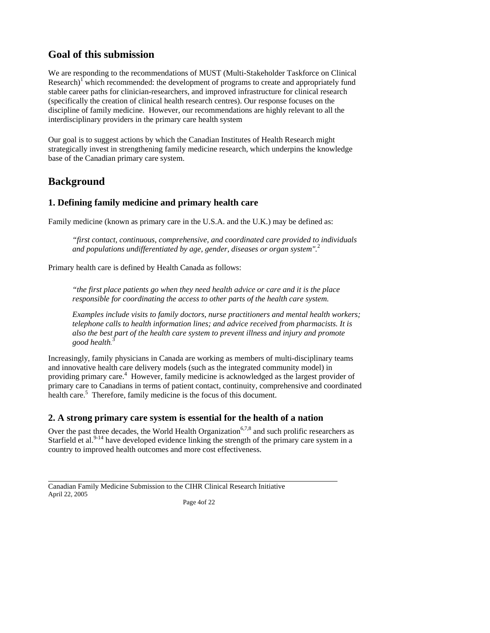## **Goal of this submission**

Research)<sup> $\int$ </sup> which recommended: the development of programs to create and appropriately fund stable career paths for clinician-researchers, and improved infrastructure for clinical research (specifically the creation of clinical health research centres). Our response focuses on the We are responding to the recommendations of MUST (Multi-Stakeholder Taskforce on Clinical discipline of family medicine. However, our recommendations are highly relevant to all the interdisciplinary providers in the primary care health system

Our goal is to suggest actions by which the Canadian Institutes of Health Research might strategically invest in strengthening family medicine research, which underpins the knowledge base of the Canadian primary care system.

## **Background**

 $\overline{a}$ 

## **1. Defining family medicine and primary health care**

Family medicine (known as primary care in the U.S.A. and the U.K.) may be defined as:

 *"first contact, continuous, comprehensive, and coordinated care provided to individuals and populations undifferentiated by age, gender, diseases or organ system".*<sup>2</sup>

Primary health care is defined by Health Canada as follows:

 *"the first place patients go when they need health advice or care and it is the place responsible for coordinating the access to other parts of the health care system.* 

*Examples include visits to family doctors, nurse practitioners and mental health workers; telephone calls to health information lines; and advice received from pharmacists. It is also the best part of the health care system to prevent illness and injury and promote good health.*  3

 and innovative health care delivery models (such as the integrated community model) in providing primary care.<sup>4</sup> However, family medicine is acknowledged as the largest provider of Increasingly, family physicians in Canada are working as members of multi-disciplinary teams primary care to Canadians in terms of patient contact, continuity, comprehensive and coordinated health care.<sup>5</sup> Therefore, family medicine is the focus of this document.

## **2. A strong primary care system is essential for the health of a nation**

Over the past three decades, the World Health Organization<sup>6,7,8</sup> and such prolific researchers as Starfield et al. $9-14$  have developed evidence linking the strength of the primary care system in a country to improved health outcomes and more cost effectiveness.

 Canadian Family Medicine Submission to the CIHR Clinical Research Initiative April 22, 2005

Page 4of 22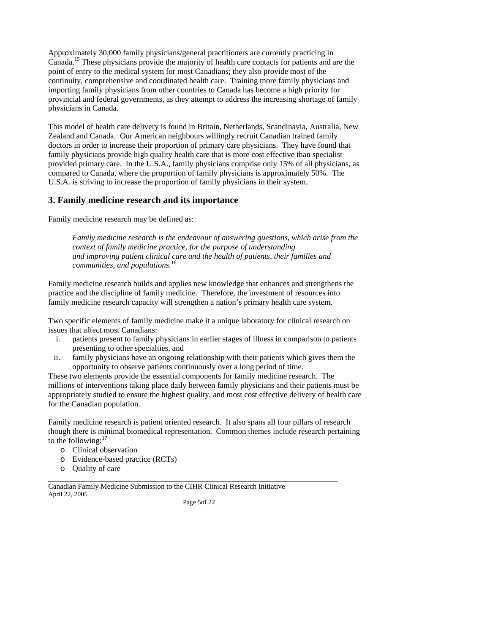point of entry to the medical system for most Canadians; they also provide most of the importing family physicians from other countries to Canada has become a high priority for provincial and federal governments, as they attempt to address the increasing shortage of family physicians in Canada. Approximately 30,000 family physicians/general practitioners are currently practicing in [Canada.15](https://Canada.15) These physicians provide the majority of health care contacts for patients and are the continuity, comprehensive and coordinated health care. Training more family physicians and

 Zealand and Canada. Our American neighbours willingly recruit Canadian trained family family physicians provide high quality health care that is more cost effective than specialist This model of health care delivery is found in Britain, Netherlands, Scandinavia, Australia, New doctors in order to increase their proportion of primary care physicians. They have found that provided primary care. In the U.S.A., family physicians comprise only 15% of all physicians, as compared to Canada, where the proportion of family physicians is approximately 50%. The U.S.A. is striving to increase the proportion of family physicians in their system.

## **3. Family medicine research and its importance**

Family medicine research may be defined as:

*Family medicine research is the endeavour of answering questions, which arise from the context of family medicine practice, for the purpose of understanding and improving patient clinical care and the health of patients, their families and communities, and [populations.](https://populations.16)*<sup>16</sup>

 Family medicine research builds and applies new knowledge that enhances and strengthens the practice and the discipline of family medicine. Therefore, the investment of resources into family medicine research capacity will strengthen a nation's primary health care system.

Two specific elements of family medicine make it a unique laboratory for clinical research on issues that affect most Canadians:

- i. patients present to family physicians in earlier stages of illness in comparison to patients presenting to other specialties, and
- ii. family physicians have an ongoing relationship with their patients which gives them the opportunity to observe patients continuously over a long period of time.

These two elements provide the essential components for family medicine research. The millions of interventions taking place daily between family physicians and their patients must be appropriately studied to ensure the highest quality, and most cost effective delivery of health care for the Canadian population.

 though there is minimal biomedical representation. Common themes include research pertaining Family medicine research is patient oriented research. It also spans all four pillars of research to the following: $17$ 

- o Clinical observation
- o Evidence-based practice (RCTs)
- o Quality of care

 $\overline{a}$ 

 Canadian Family Medicine Submission to the CIHR Clinical Research Initiative April 22, 2005

Page 5of 22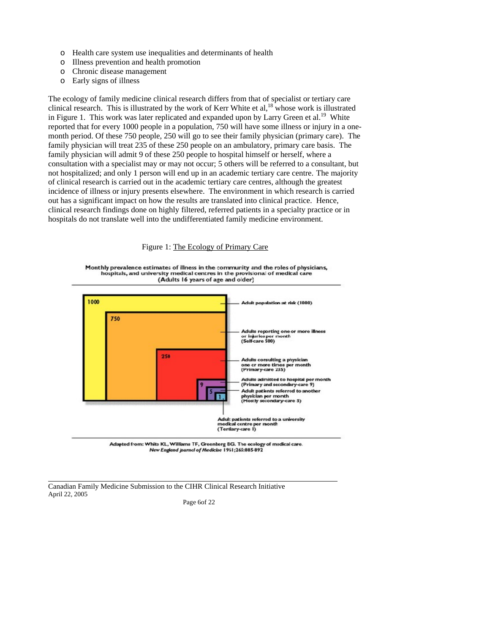- o Health care system use inequalities and determinants of health
- o Illness prevention and health promotion
- o Chronic disease management
- o Early signs of illness

in Figure 1. This work was later replicated and expanded upon by Larry Green et al.<sup>19</sup> White reported that for every 1000 people in a population, 750 will have some illness or injury in a one- not hospitalized; and only 1 person will end up in an academic tertiary care centre. The majority clinical research findings done on highly filtered, referred patients in a specialty practice or in hospitals do not translate well into the undifferentiated family medicine environment.<br>Figure 1: The Ecology of Primary Care The ecology of family medicine clinical research differs from that of specialist or tertiary care clinical research. This is illustrated by the work of Kerr White et al, $^{18}$  whose work is illustrated month period. Of these 750 people, 250 will go to see their family physician (primary care). The family physician will treat 235 of these 250 people on an ambulatory, primary care basis. The family physician will admit 9 of these 250 people to hospital himself or herself, where a consultation with a specialist may or may not occur; 5 others will be referred to a consultant, but of clinical research is carried out in the academic tertiary care centres, although the greatest incidence of illness or injury presents elsewhere. The environment in which research is carried out has a significant impact on how the results are translated into clinical practice. Hence,



Monthly prevalence estimates of illness in the community and the roles of physicians, hospitals, and university medical centres in the provisional of medical care (Adults 16 years of age and older)



Adapted from: White KL, Williams TF, Greenberg BG. The ecology of medical care.<br>New England journed of Medicine 1961;265:885-892

 Canadian Family Medicine Submission to the CIHR Clinical Research Initiative April 22, 2005

 $\overline{a}$ 

Page 6of 22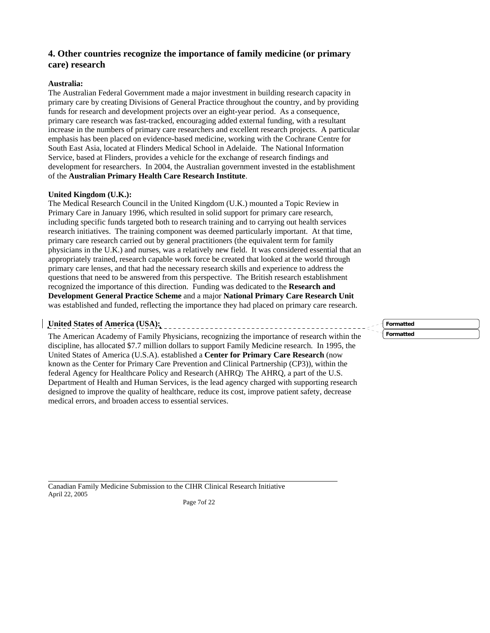## **4. Other countries recognize the importance of family medicine (or primary care) research**

## **Australia:**

 primary care by creating Divisions of General Practice throughout the country, and by providing funds for research and development projects over an eight-year period. As a consequence, The Australian Federal Government made a major investment in building research capacity in primary care research was fast-tracked, encouraging added external funding, with a resultant increase in the numbers of primary care researchers and excellent research projects. A particular emphasis has been placed on evidence-based medicine, working with the Cochrane Centre for South East Asia, located at Flinders Medical School in Adelaide. The National Information Service, based at Flinders, provides a vehicle for the exchange of research findings and development for researchers. In 2004, the Australian government invested in the establishment of the **Australian Primary Health Care Research Institute**.

### **United Kingdom (U.K.):**

 physicians in the U.K.) and nurses, was a relatively new field. It was considered essential that an The Medical Research Council in the United Kingdom (U.K.) mounted a Topic Review in Primary Care in January 1996, which resulted in solid support for primary care research, including specific funds targeted both to research training and to carrying out health services research initiatives. The training component was deemed particularly important. At that time, primary care research carried out by general practitioners (the equivalent term for family appropriately trained, research capable work force be created that looked at the world through primary care lenses, and that had the necessary research skills and experience to address the questions that need to be answered from this perspective. The British research establishment recognized the importance of this direction. Funding was dedicated to the **Research and Development General Practice Scheme** and a major **National Primary Care Research Unit**  was established and funded, reflecting the importance they had placed on primary care research.

# **United States of America (USA):**

 $\overline{a}$ 

 known as the Center for Primary Care Prevention and Clinical Partnership (CP3)), within the Department of Health and Human Services, is the lead agency charged with supporting research designed to improve the quality of healthcare, reduce its cost, improve patient safety, decrease The American Academy of Family Physicians, recognizing the importance of research within the discipline, has allocated \$7.7 million dollars to support Family Medicine research. In 1995, the United States of America (U.S.A). established a **Center for Primary Care Research** (now federal Agency for Healthcare Policy and Research (AHRQ) The AHRQ, a part of the U.S. medical errors, and broaden access to essential services.

**Formatted Formatted**

 Canadian Family Medicine Submission to the CIHR Clinical Research Initiative April 22, 2005

Page 7of 22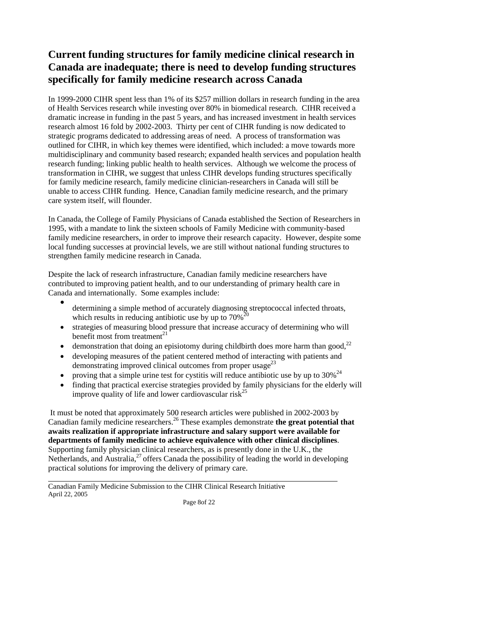# **Current funding structures for family medicine clinical research in Canada are inadequate; there is need to develop funding structures specifically for family medicine research across Canada**

 dramatic increase in funding in the past 5 years, and has increased investment in health services strategic programs dedicated to addressing areas of need. A process of transformation was multidisciplinary and community based research; expanded health services and population health research funding; linking public health to health services. Although we welcome the process of for family medicine research, family medicine clinician-researchers in Canada will still be unable to access CIHR funding. Hence, Canadian family medicine research, and the primary In 1999-2000 CIHR spent less than 1% of its \$257 million dollars in research funding in the area of Health Services research while investing over 80% in biomedical research. CIHR received a research almost 16 fold by 2002-2003. Thirty per cent of CIHR funding is now dedicated to outlined for CIHR, in which key themes were identified, which included: a move towards more transformation in CIHR, we suggest that unless CIHR develops funding structures specifically care system itself, will flounder.

 In Canada, the College of Family Physicians of Canada established the Section of Researchers in local funding successes at provincial levels, we are still without national funding structures to strengthen family medicine research in Canada. 1995, with a mandate to link the sixteen schools of Family Medicine with community-based family medicine researchers, in order to improve their research capacity. However, despite some

 Despite the lack of research infrastructure, Canadian family medicine researchers have Canada and internationally. Some examples include: contributed to improving patient health, and to our understanding of primary health care in

- determining a simple method of accurately diagnosing streptococcal infected throats, which results in reducing antibiotic use by up to  $70\%$ <sup>2</sup>
- • strategies of measuring blood pressure that increase accuracy of determining who will benefit most from treatment $^{21}$
- demonstration that doing an episiotomy during childbirth does more harm than good, $^{22}$
- demonstrating improved clinical outcomes from proper usage<sup>23</sup> • developing measures of the patient centered method of interacting with patients and
- proving that a simple urine test for cystitis will reduce antibiotic use by up to  $30\%^{24}$
- finding that practical exercise strategies provided by family physicians for the elderly will improve quality of life and lower cardiovascular risk<sup>25</sup>

 It must be noted that approximately 500 research articles were published in 2002-2003 by Canadian family medicine [researchers.26](https://researchers.26) These examples demonstrate **the great potential that awaits realization if appropriate infrastructure and salary support were available for departments of family medicine to achieve equivalence with other clinical disciplines**. Supporting family physician clinical researchers, as is presently done in the U.K., the Netherlands, and Australia, $^{27}$  offers Canada the possibility of leading the world in developing practical solutions for improving the delivery of primary care.

 Canadian Family Medicine Submission to the CIHR Clinical Research Initiative April 22, 2005

 $\overline{a}$ 

Page 8of 22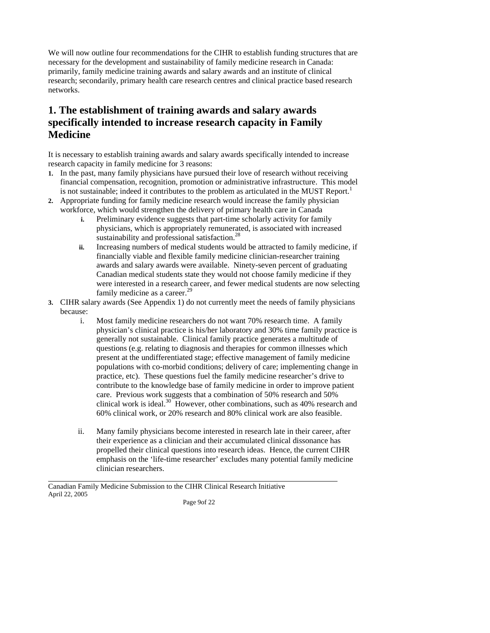research; secondarily, primary health care research centres and clinical practice based research We will now outline four recommendations for the CIHR to establish funding structures that are necessary for the development and sustainability of family medicine research in Canada: primarily, family medicine training awards and salary awards and an institute of clinical networks.

# **1. The establishment of training awards and salary awards specifically intended to increase research capacity in Family Medicine**

 research capacity in family medicine for 3 reasons: It is necessary to establish training awards and salary awards specifically intended to increase

- is not sustainable; indeed it contributes to the problem as articulated in the MUST Report.<sup>1</sup> **1.** In the past, many family physicians have pursued their love of research without receiving financial compensation, recognition, promotion or administrative infrastructure. This model
- **2.** Appropriate funding for family medicine research would increase the family physician workforce, which would strengthen the delivery of primary health care in Canada
	- **i.** Preliminary evidence suggests that part-time scholarly activity for family physicians, which is appropriately remunerated, is associated with increased sustainability and professional satisfaction.<sup>28</sup>
	- Canadian medical students state they would not choose family medicine if they family medicine as a career.<sup>29</sup> **ii.** Increasing numbers of medical students would be attracted to family medicine, if financially viable and flexible family medicine clinician-researcher training awards and salary awards were available. Ninety-seven percent of graduating were interested in a research career, and fewer medical students are now selecting
- **3.** CIHR salary awards (See Appendix 1) do not currently meet the needs of family physicians because:
	- i. Most family medicine researchers do not want 70% research time. A family practice, etc). These questions fuel the family medicine researcher's drive to physician's clinical practice is his/her laboratory and 30% time family practice is generally not sustainable. Clinical family practice generates a multitude of questions (e.g. relating to diagnosis and therapies for common illnesses which present at the undifferentiated stage; effective management of family medicine populations with co-morbid conditions; delivery of care; implementing change in contribute to the knowledge base of family medicine in order to improve patient care. Previous work suggests that a combination of 50% research and 50% clinical work is [ideal.](https://ideal.30)<sup>30</sup> However, other combinations, such as  $40\%$  research and 60% clinical work, or 20% research and 80% clinical work are also feasible.
	- ii. Many family physicians become interested in research late in their career, after propelled their clinical questions into research ideas. Hence, the current CIHR emphasis on the 'life-time researcher' excludes many potential family medicine their experience as a clinician and their accumulated clinical dissonance has clinician researchers.

 $\overline{a}$ 

Page 9of 22

 Canadian Family Medicine Submission to the CIHR Clinical Research Initiative April 22, 2005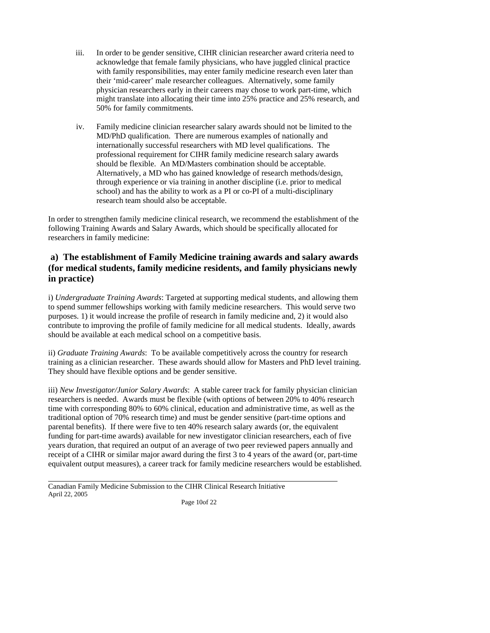- acknowledge that female family physicians, who have juggled clinical practice with family responsibilities, may enter family medicine research even later than their 'mid-career' male researcher colleagues. Alternatively, some family iii. In order to be gender sensitive, CIHR clinician researcher award criteria need to physician researchers early in their careers may chose to work part-time, which might translate into allocating their time into 25% practice and 25% research, and 50% for family commitments.
- MD/PhD qualification. There are numerous examples of nationally and internationally successful researchers with MD level qualifications. The professional requirement for CIHR family medicine research salary awards Alternatively, a MD who has gained knowledge of research methods/design, school) and has the ability to work as a PI or co-PI of a multi-disciplinary iv. Family medicine clinician researcher salary awards should not be limited to the should be flexible. An MD/Masters combination should be acceptable. through experience or via training in another discipline (i.e. prior to medical research team should also be acceptable.

In order to strengthen family medicine clinical research, we recommend the establishment of the following Training Awards and Salary Awards, which should be specifically allocated for researchers in family medicine:

## **a) The establishment of Family Medicine training awards and salary awards (for medical students, family medicine residents, and family physicians newly in practice)**

 purposes. 1) it would increase the profile of research in family medicine and, 2) it would also i) *Undergraduate Training Awards*: Targeted at supporting medical students, and allowing them to spend summer fellowships working with family medicine researchers. This would serve two contribute to improving the profile of family medicine for all medical students. Ideally, awards should be available at each medical school on a competitive basis.

 They should have flexible options and be gender sensitive. ii) *Graduate Training Awards*: To be available competitively across the country for research training as a clinician researcher. These awards should allow for Masters and PhD level training.

 traditional option of 70% research time) and must be gender sensitive (part-time options and funding for part-time awards) available for new investigator clinician researchers, each of five receipt of a CIHR or similar major award during the first 3 to 4 years of the award (or, part-time equivalent output measures), a career track for family medicine researchers would be established. iii) *New Investigator/Junior Salary Awards*: A stable career track for family physician clinician researchers is needed. Awards must be flexible (with options of between 20% to 40% research time with corresponding 80% to 60% clinical, education and administrative time, as well as the parental benefits). If there were five to ten 40% research salary awards (or, the equivalent years duration, that required an output of an average of two peer reviewed papers annually and

 $\overline{a}$ 

Page 10of 22

 Canadian Family Medicine Submission to the CIHR Clinical Research Initiative April 22, 2005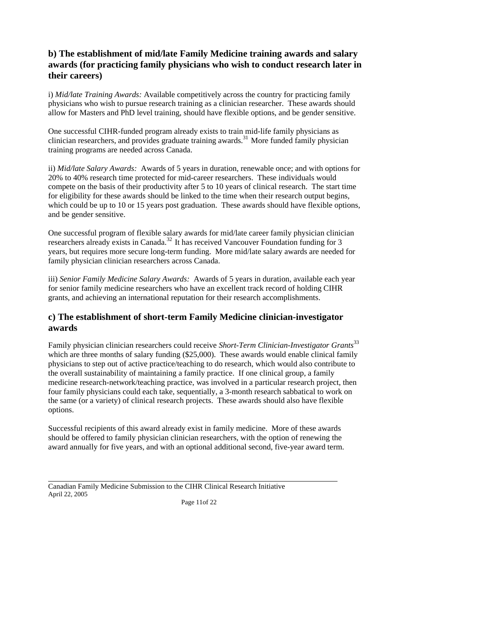## **b) The establishment of mid/late Family Medicine training awards and salary awards (for practicing family physicians who wish to conduct research later in their careers)**

 physicians who wish to pursue research training as a clinician researcher. These awards should i) *Mid/late Training Awards:* Available competitively across the country for practicing family allow for Masters and PhD level training, should have flexible options, and be gender sensitive.

 One successful CIHR-funded program already exists to train mid-life family physicians as training programs are needed across Canada. clinician researchers, and provides graduate training awards.<sup>31</sup> More funded family physician

 ii) *Mid/late Salary Awards:* Awards of 5 years in duration, renewable once; and with options for compete on the basis of their productivity after 5 to 10 years of clinical research. The start time for eligibility for these awards should be linked to the time when their research output begins, which could be up to 10 or 15 years post graduation. These awards should have flexible options, 20% to 40% research time protected for mid-career researchers. These individuals would and be gender sensitive.

 One successful program of flexible salary awards for mid/late career family physician clinician years, but requires more secure long-term funding. More mid/late salary awards are needed for researchers already exists in [Canada.](https://Canada.32)32 It has received Vancouver Foundation funding for 3 family physician clinician researchers across Canada.

iii) *Senior Family Medicine Salary Awards:* Awards of 5 years in duration, available each year for senior family medicine researchers who have an excellent track record of holding CIHR grants, and achieving an international reputation for their research accomplishments.

## **c) The establishment of short-term Family Medicine clinician-investigator awards**

 which are three months of salary funding (\$25,000). These awards would enable clinical family the same (or a variety) of clinical research projects. These awards should also have flexible Family physician clinician researchers could receive *Short-Term Clinician-Investigator Grants*<sup>33</sup> physicians to step out of active practice/teaching to do research, which would also contribute to the overall sustainability of maintaining a family practice. If one clinical group, a family medicine research-network/teaching practice, was involved in a particular research project, then four family physicians could each take, sequentially, a 3-month research sabbatical to work on options.

 award annually for five years, and with an optional additional second, five-year award term. Successful recipients of this award already exist in family medicine. More of these awards should be offered to family physician clinician researchers, with the option of renewing the

 $\overline{a}$ 

Page 11of 22

 Canadian Family Medicine Submission to the CIHR Clinical Research Initiative April 22, 2005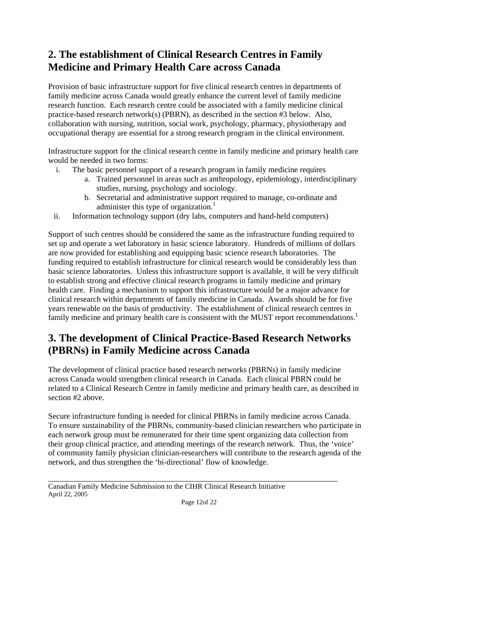# **2. The establishment of Clinical Research Centres in Family Medicine and Primary Health Care across Canada**

 Provision of basic infrastructure support for five clinical research centres in departments of practice-based research network(s) (PBRN), as described in the section #3 below. Also, family medicine across Canada would greatly enhance the current level of family medicine research function. Each research centre could be associated with a family medicine clinical collaboration with nursing, nutrition, social work, psychology, pharmacy, physiotherapy and occupational therapy are essential for a strong research program in the clinical environment.

Infrastructure support for the clinical research centre in family medicine and primary health care would be needed in two forms:

- i. The basic personnel support of a research program in family medicine requires
	- a. Trained personnel in areas such as anthropology, epidemiology, interdisciplinary studies, nursing, psychology and sociology.
	- b. Secretarial and administrative support required to manage, co-ordinate and administer this type of organization.<sup>1</sup>
- ii. Information technology support (dry labs, computers and hand-held computers)

 funding required to establish infrastructure for clinical research would be considerably less than basic science laboratories. Unless this infrastructure support is available, it will be very difficult clinical research within departments of family medicine in Canada. Awards should be for five years renewable on the basis of productivity. The establishment of clinical research centres in Support of such centres should be considered the same as the infrastructure funding required to set up and operate a wet laboratory in basic science laboratory. Hundreds of millions of dollars are now provided for establishing and equipping basic science research laboratories. The to establish strong and effective clinical research programs in family medicine and primary health care. Finding a mechanism to support this infrastructure would be a major advance for family medicine and primary health care is consistent with the MUST report recommendations.<sup>1</sup>

# **3. The development of Clinical Practice-Based Research Networks (PBRNs) in Family Medicine across Canada**

 The development of clinical practice based research networks (PBRNs) in family medicine related to a Clinical Research Centre in family medicine and primary health care, as described in across Canada would strengthen clinical research in Canada. Each clinical PBRN could be section #2 above.

 To ensure sustainability of the PBRNs, community-based clinician researchers who participate in of community family physician clinician-researchers will contribute to the research agenda of the Secure infrastructure funding is needed for clinical PBRNs in family medicine across Canada. each network group must be remunerated for their time spent organizing data collection from their group clinical practice, and attending meetings of the research network. Thus, the 'voice' network, and thus strengthen the 'bi-directional' flow of knowledge.

 Canadian Family Medicine Submission to the CIHR Clinical Research Initiative April 22, 2005

 $\overline{a}$ 

Page 12of 22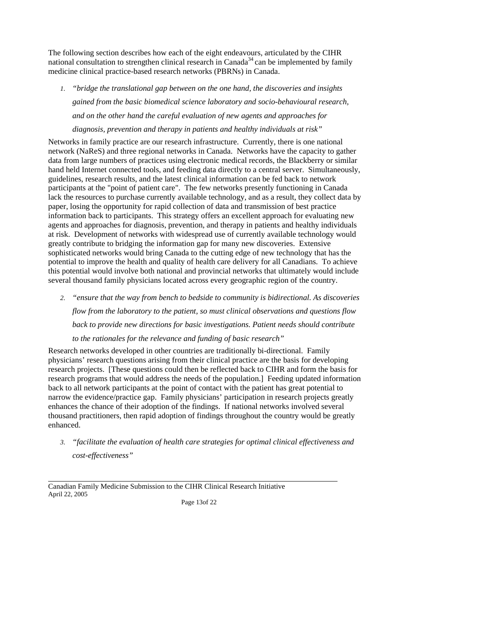The following section describes how each of the eight endeavours, articulated by the CIHR medicine clinical practice-based research networks (PBRNs) in Canada. national consultation to strengthen clinical research in Canada<sup>34</sup> can be implemented by family

 *gained from the basic biomedical science laboratory and socio-behavioural research, 1. "bridge the translational gap between on the one hand, the discoveries and insights and on the other hand the careful evaluation of new agents and approaches for diagnosis, prevention and therapy in patients and healthy individuals at risk"* 

 Networks in family practice are our research infrastructure. Currently, there is one national network (NaReS) and three regional networks in Canada. Networks have the capacity to gather hand held Internet connected tools, and feeding data directly to a central server. Simultaneously, guidelines, research results, and the latest clinical information can be fed back to network information back to participants. This strategy offers an excellent approach for evaluating new greatly contribute to bridging the information gap for many new discoveries. Extensive potential to improve the health and quality of health care delivery for all Canadians. To achieve several thousand family physicians located across every geographic region of the country. data from large numbers of practices using electronic medical records, the Blackberry or similar participants at the "point of patient care". The few networks presently functioning in Canada lack the resources to purchase currently available technology, and as a result, they collect data by paper, losing the opportunity for rapid collection of data and transmission of best practice agents and approaches for diagnosis, prevention, and therapy in patients and healthy individuals at risk. Development of networks with widespread use of currently available technology would sophisticated networks would bring Canada to the cutting edge of new technology that has the this potential would involve both national and provincial networks that ultimately would include

*2. "ensure that the way from bench to bedside to community is bidirectional. As discoveries flow from the laboratory to the patient, so must clinical observations and questions flow back to provide new directions for basic investigations. Patient needs should contribute* 

*to the rationales for the relevance and funding of basic research"* 

 Research networks developed in other countries are traditionally bi-directional. Family research projects. [These questions could then be reflected back to CIHR and form the basis for back to all network participants at the point of contact with the patient has great potential to physicians' research questions arising from their clinical practice are the basis for developing research programs that would address the needs of the population.] Feeding updated information narrow the evidence/practice gap. Family physicians' participation in research projects greatly enhances the chance of their adoption of the findings. If national networks involved several thousand practitioners, then rapid adoption of findings throughout the country would be greatly enhanced.

*3. "facilitate the evaluation of health care strategies for optimal clinical effectiveness and cost-effectiveness"* 

 Canadian Family Medicine Submission to the CIHR Clinical Research Initiative April 22, 2005

 $\overline{a}$ 

Page 13of 22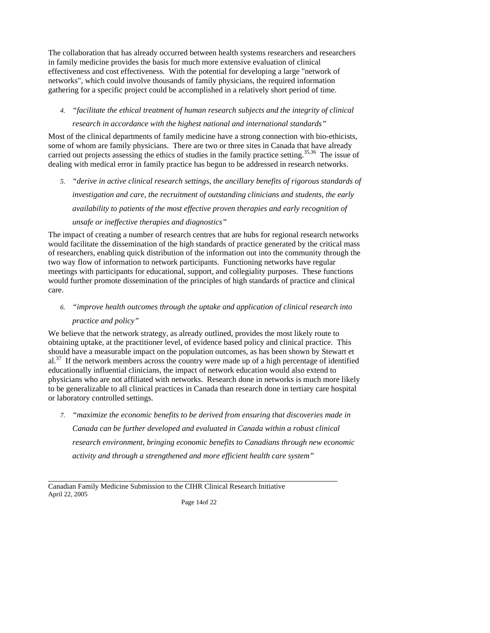The collaboration that has already occurred between health systems researchers and researchers in family medicine provides the basis for much more extensive evaluation of clinical effectiveness and cost effectiveness. With the potential for developing a large "network of networks", which could involve thousands of family physicians, the required information gathering for a specific project could be accomplished in a relatively short period of time.

### *4. "facilitate the ethical treatment of human research subjects and the integrity of clinical*

### *research in accordance with the highest national and international standards"*

 some of whom are family physicians. There are two or three sites in Canada that have already carried out projects assessing the ethics of studies in the family practice setting.<sup>35,36</sup> The issue of Most of the clinical departments of family medicine have a strong connection with bio-ethicists, dealing with medical error in family practice has begun to be addressed in research networks.

*5. "derive in active clinical research settings, the ancillary benefits of rigorous standards of investigation and care, the recruitment of outstanding clinicians and students, the early availability to patients of the most effective proven therapies and early recognition of* 

## *unsafe or ineffective therapies and diagnostics"*

 The impact of creating a number of research centres that are hubs for regional research networks would facilitate the dissemination of the high standards of practice generated by the critical mass of researchers, enabling quick distribution of the information out into the community through the two way flow of information to network participants. Functioning networks have regular meetings with participants for educational, support, and collegiality purposes. These functions would further promote dissemination of the principles of high standards of practice and clinical care.

## *6. "improve health outcomes through the uptake and application of clinical research into practice and policy"*

 obtaining uptake, at the practitioner level, of evidence based policy and clinical practice. This  $al.<sup>37</sup>$  If the network members across the country were made up of a high percentage of identified We believe that the network strategy, as already outlined, provides the most likely route to should have a measurable impact on the population outcomes, as has been shown by Stewart et educationally influential clinicians, the impact of network education would also extend to physicians who are not affiliated with networks. Research done in networks is much more likely to be generalizable to all clinical practices in Canada than research done in tertiary care hospital or laboratory controlled settings.

 *7. "maximize the economic benefits to be derived from ensuring that discoveries made in Canada can be further developed and evaluated in Canada within a robust clinical research environment, bringing economic benefits to Canadians through new economic activity and through a strengthened and more efficient health care system"* 

 $\overline{a}$ 

Page 14of 22

 Canadian Family Medicine Submission to the CIHR Clinical Research Initiative April 22, 2005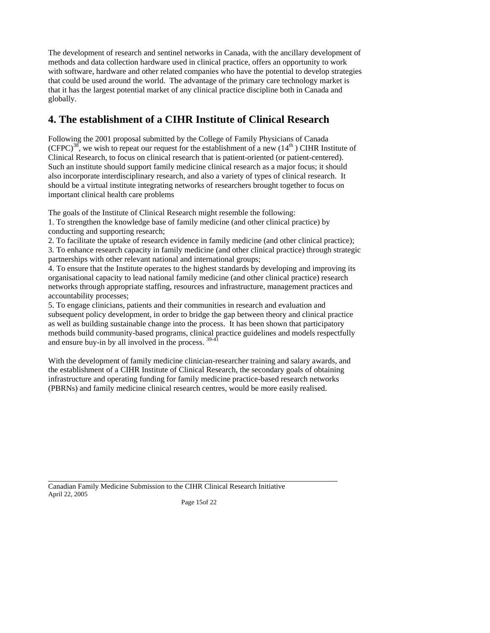methods and data collection hardware used in clinical practice, offers an opportunity to work with software, hardware and other related companies who have the potential to develop strategies The development of research and sentinel networks in Canada, with the ancillary development of that could be used around the world. The advantage of the primary care technology market is that it has the largest potential market of any clinical practice discipline both in Canada and globally.

# **4. The establishment of a CIHR Institute of Clinical Research**

 Following the 2001 proposal submitted by the College of Family Physicians of Canada  $(CFPC)^{38}$ , we wish to repeat our request for the establishment of a new (14<sup>th</sup>) CIHR Institute of should be a virtual institute integrating networks of researchers brought together to focus on Clinical Research, to focus on clinical research that is patient-oriented (or patient-centered). Such an institute should support family medicine clinical research as a major focus; it should also incorporate interdisciplinary research, and also a variety of types of clinical research. It important clinical health care problems

The goals of the Institute of Clinical Research might resemble the following:

 1. To strengthen the knowledge base of family medicine (and other clinical practice) by conducting and supporting research;

 2. To facilitate the uptake of research evidence in family medicine (and other clinical practice); 3. To enhance research capacity in family medicine (and other clinical practice) through strategic partnerships with other relevant national and international groups;

 4. To ensure that the Institute operates to the highest standards by developing and improving its organisational capacity to lead national family medicine (and other clinical practice) research networks through appropriate staffing, resources and infrastructure, management practices and accountability processes;

 subsequent policy development, in order to bridge the gap between theory and clinical practice 5. To engage clinicians, patients and their communities in research and evaluation and as well as building sustainable change into the process. It has been shown that participatory methods build community-based programs, clinical practice guidelines and models respectfully and ensure buy-in by all involved in the process.  $39-41$ 

 With the development of family medicine clinician-researcher training and salary awards, and the establishment of a CIHR Institute of Clinical Research, the secondary goals of obtaining infrastructure and operating funding for family medicine practice-based research networks (PBRNs) and family medicine clinical research centres, would be more easily realised.

 Canadian Family Medicine Submission to the CIHR Clinical Research Initiative April 22, 2005 Page 15of 22

 $\overline{a}$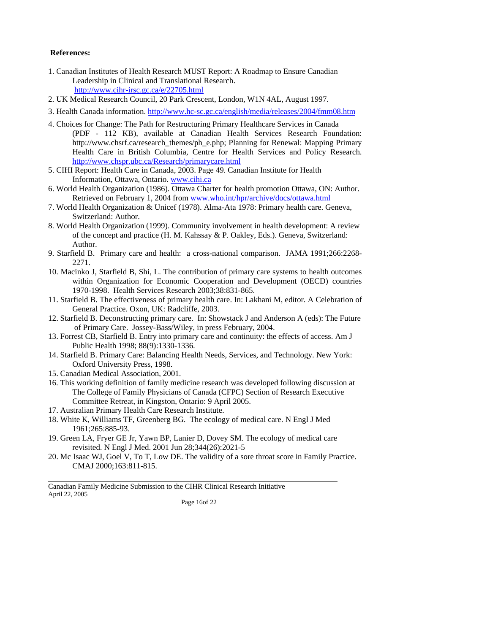### **References:**

- 1. Canadian Institutes of Health Research MUST Report: A Roadmap to Ensure Canadian Leadership in Clinical and Translational Research. <http://www.cihr-irsc.gc.ca/e/22705.html>
- 2. UK Medical Research Council, 20 Park Crescent, London, W1N 4AL, August 1997.
- 3. Health Canada information. <http://www.hc-sc.gc.ca/english/media/releases/2004/fmm08.htm>
- 4. Choices for Change: The Path for Restructuring Primary Healthcare Services in Canada (PDF - 112 KB), available at Canadian Health Services Research Foundation: Health Care in British Columbia, Centre for Health Services and Policy Research. [http://www.chsrf.ca/research\\_themes/ph\\_e.php](http://www.chsrf.ca/research_themes/ph_e.php); Planning for Renewal: Mapping Primary <http://www.chspr.ubc.ca/Research/primarycare.html>
- 5. CIHI Report: Health Care in Canada, 2003. Page 49. Canadian Institute for Health Information, Ottawa, Ontario.<www.cihi.ca>
- 6. World Health Organization (1986). Ottawa Charter for health promotion Ottawa, ON: Author. Retrieved on February 1, 2004 from<www.who.int/hpr/archive/docs/ottawa.html>
- 7. World Health Organization & Unicef (1978). Alma-Ata 1978: Primary health care. Geneva, Switzerland: Author.
- 8. World Health Organization (1999). Community involvement in health development: A review of the concept and practice (H. M. Kahssay & P. Oakley, Eds.). Geneva, Switzerland: Author.
- 9. Starfield B. Primary care and health: a cross-national comparison. JAMA 1991;266:2268- 2271.
- 10. Macinko J, Starfield B, Shi, L. The contribution of primary care systems to health outcomes within Organization for Economic Cooperation and Development (OECD) countries 1970-1998. Health Services Research 2003;38:831-865.
- 11. Starfield B. The effectiveness of primary health care. In: Lakhani M, editor. A Celebration of General Practice. Oxon, UK: Radcliffe, 2003.
- of Primary Care. Jossey-Bass/Wiley, in press February, 2004. 12. Starfield B. Deconstructing primary care. In: Showstack J and Anderson A (eds): The Future
- 13. Forrest CB, Starfield B. Entry into primary care and continuity: the effects of access. Am J Public Health 1998; 88(9):1330-1336.
- 14. Starfield B. Primary Care: Balancing Health Needs, Services, and Technology. New York: Oxford University Press, 1998.
- 15. Canadian Medical Association, 2001.

 $\overline{a}$ 

- 16. This working definition of family medicine research was developed following discussion at The College of Family Physicians of Canada (CFPC) Section of Research Executive The College of Family Physicians of Canada (CFPC) Section of Research Executive Committee Retreat, in Kingston, Ontario: 9 April 2005.
- 17. Australian Primary Health Care Research Institute.
- 18. White K, Williams TF, Greenberg BG. The ecology of medical care. N Engl J Med 1961;265:885-93.
- 19. Green LA, Fryer GE Jr, Yawn BP, Lanier D, Dovey SM. The ecology of medical care revisited. N Engl J Med. 2001 Jun 28;344(26):2021-5
- 20. Mc Isaac WJ, Goel V, To T, Low DE. The validity of a sore throat score in Family Practice. CMAJ 2000;163:811-815.

 Canadian Family Medicine Submission to the CIHR Clinical Research Initiative April 22, 2005

Page 16of 22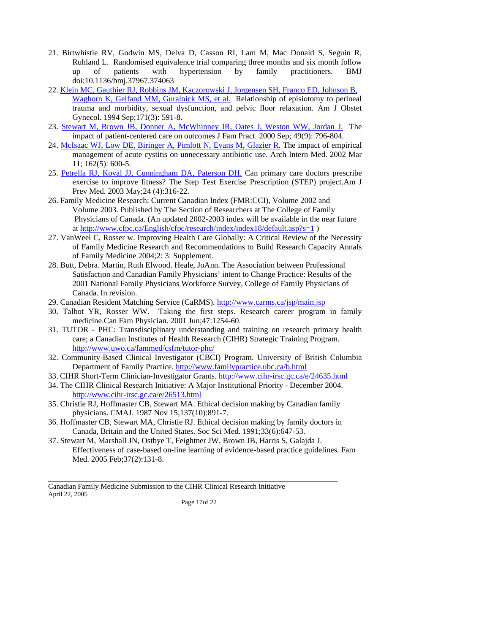- 21. Birtwhistle RV, Godwin MS, Delva D, Casson RI, Lam M, Mac Donald S, Seguin R, Ruhland L. Randomised equivalence trial comparing three months and six month follow up of patients with hypertension by family practitioners. BMJ doi:10.1136/bmj.37967.374063
- 22. Klein MC, Gauthier RJ, Robbins JM, Kaczorowski J, Jorgensen SH, Franco ED, Johnson B, Waghorn K, Gelfand MM, Guralnick MS, et al. Relationship of episiotomy to perineal trauma and morbidity, sexual dysfunction, and pelvic floor relaxation. Am J Obstet Gynecol. 1994 Sep;171(3): 591-8.
- 23. Stewart M, Brown JB, Donner A, McWhinney IR, Oates J, Weston WW, Jordan J. The impact of patient-centered care on outcomes J Fam Pract. 2000 Sep; 49(9): 796-804.
- 24. McIsaac WJ, Low DE, Biringer A, Pimlott N, Evans M, Glazier R. The impact of empirical management of acute cystitis on unnecessary antibiotic use. Arch Intern Med. 2002 Mar 11; 162(5): 600-5.
- exercise to improve fitness? The Step Test Exercise Prescription (STEP) [project.Am](https://project.Am) J Prev Med. 2003 May;24 (4):316-22. 25. Petrella RJ, Koval JJ, Cunningham DA, Paterson DH. Can primary care doctors prescribe
- Volume 2003. Published by The Section of Researchers at The College of Family 26. Family Medicine Research: Current Canadian Index (FMR:CCI), Volume 2002 and Physicians of Canada. (An updated 2002-2003 index will be available in the near future at<http://www.cfpc.ca/English/cfpc/research/index/index18/default.asp?s=1> )
- 27. VanWeel C, Rosser w. Improving Health Care Globally: A Critical Review of the Necessity of Family Medicine Research and Recommendations to Build Research Capacity Annals of Family Medicine 2004;2: 3: Supplement.
- Satisfaction and Canadian Family Physicians' intent to Change Practice: Results of the Canada. In revision. 28. Butt, Debra. Martin, Ruth Elwood. Heale, JoAnn. The Association between Professional 2001 National Family Physicians Workforce Survey, College of Family Physicians of
- 29. Canadian Resident Matching Service (CaRMS).<http://www.carms.ca/jsp/main.jsp>
- 30. Talbot YR, Rosser WW. Taking the first steps. Research career program in family medicine.Can Fam Physician. 2001 Jun;47:1254-60.
- 31. TUTOR PHC: Transdisciplinary understanding and training on research primary health care; a Canadian Institutes of Health Research (CIHR) Strategic Training Program. <http://www.uwo.ca/fammed/csfm/tutor-phc>/
- 32. Community-Based Clinical Investigator (CBCI) Program. University of British Columbia Department of Family Practice. <http://www.familypractice.ubc.ca/b.html>
- 33. CIHR Short-Term Clinician-Investigator Grants.<http://www.cihr-irsc.gc.ca/e/24635.html>
- 34. The CIHR Clinical Research Initiative: A Major Institutional Priority December 2004. <http://www.cihr-irsc.gc.ca/e/26513.html>
- 35. Christie RJ, Hoffmaster CB, Stewart MA. Ethical decision making by Canadian family physicians. CMAJ. 1987 Nov 15;137(10):891-7.
- 36. Hoffmaster CB, Stewart MA, Christie RJ. Ethical decision making by family doctors in Canada, Britain and the United States. Soc Sci Med. 1991;33(6):647-53.
- 37. Stewart M, Marshall JN, Ostbye T, Feightner JW, Brown JB, Harris S, Galajda J. Effectiveness of case-based on-line learning of evidence-based practice guidelines. Fam Med. 2005 Feb;37(2):131-8.

 Canadian Family Medicine Submission to the CIHR Clinical Research Initiative April 22, 2005

 $\overline{a}$ 

Page 17of 22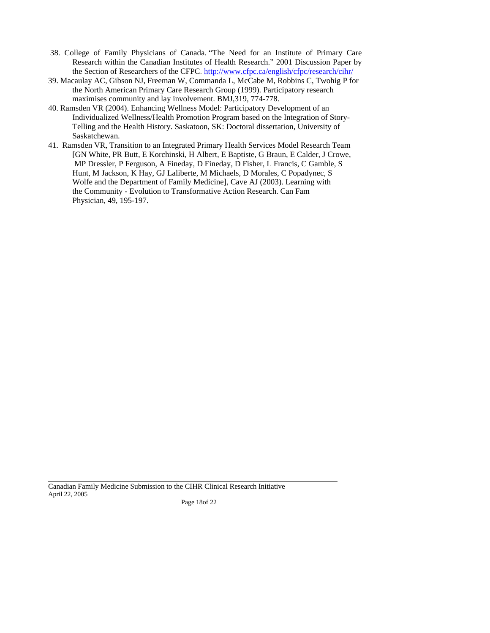- 38. College of Family Physicians of Canada. "The Need for an Institute of Primary Care the Section of Researchers of the CFPC. http://www.cfpc.ca/english/cfpc/research/cihr/ Research within the Canadian Institutes of Health Research." 2001 Discussion Paper by
- the Section of Researchers of the CFPC. [http://www.cfpc.ca/english/cfpc/research/cihr/](http://www.cfpc.ca/english/cfpc/research/cihr) 39. Macaulay AC, Gibson NJ, Freeman W, Commanda L, McCabe M, Robbins C, Twohig P for the North American Primary Care Research Group (1999). Participatory research maximises community and lay involvement. BMJ,319, 774-778.
- Telling and the Health History. Saskatoon, SK: Doctoral dissertation, University of 40. Ramsden VR (2004). Enhancing Wellness Model: Participatory Development of an Individualized Wellness/Health Promotion Program based on the Integration of Story-Saskatchewan.
- 41. Ramsden VR, Transition to an Integrated Primary Health Services Model Research Team 41. Ramsden VR, Transition to an Integrated Primary Health Services Model Research Team [GN White, PR Butt, E Korchinski, H Albert, E Baptiste, G Braun, E Calder, J Crowe, MP Dressler, P Ferguson, A Fineday, D Fineday, D Fisher, L Francis, C Gamble, S Wolfe and the Department of Family Medicine], Cave AJ (2003). Learning with the Community - Evolution to Transformative Action Research. Can Fam Physician, 49, 195-197. the Community - Evolution to Transformative Action Research. Can Fam Hunt, M Jackson, K Hay, GJ Laliberte, M Michaels, D Morales, C Popadynec, S

 Canadian Family Medicine Submission to the CIHR Clinical Research Initiative April 22, 2005

 $\overline{a}$ 

Page 18of 22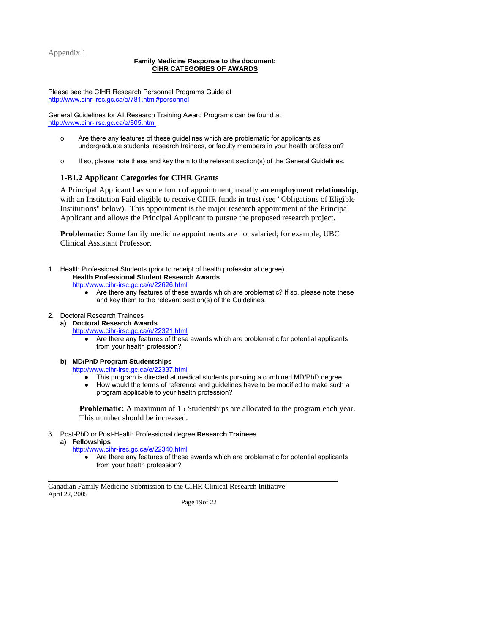Appendix 1

#### **Family Medicine Response to the document: CIHR CATEGORIES OF AWARDS**

Please see the CIHR Research Personnel Programs Guide at <http://www.cihr-irsc.gc.ca/e/781.html#personnel>

 General Guidelines for All Research Training Award Programs can be found at <http://www.cihr-irsc.gc.ca/e/805.html>

- $\circ$  undergraduate students, research trainees, or faculty members in your health profession? Are there any features of these quidelines which are problematic for applicants as
- $\circ$  If so, please note these and key them to the relevant section(s) of the General Guidelines.

## **1-B1.2 Applicant Categories for CIHR Grants**

 with an Institution Paid eligible to receive CIHR funds in trust (see "Obligations of Eligible A Principal Applicant has some form of appointment, usually **an employment relationship**, Institutions" below). This appointment is the major research appointment of the Principal Applicant and allows the Principal Applicant to pursue the proposed research project.

**Problematic:** Some family medicine appointments are not salaried; for example, UBC Clinical Assistant Professor.

1. Health Professional Students (prior to receipt of health professional degree).

## **Health Professional Student Research Awards**

<http://www.cihr-irsc.gc.ca/e/22626.html>

● Are there any features of these awards which are problematic? If so, please note these and key them to the relevant section(s) of the Guidelines.

#### 2. Doctoral Research Trainees

- **a) Doctoral Research Awards** 
	- <http://www.cihr-irsc.gc.ca/e/22321.html>
		- ● Are there any features of these awards which are problematic for potential applicants from your health profession?
	- **b) MD/PhD Program Studentships**

<http://www.cihr-irsc.gc.ca/e/22337.html>

- This program is directed at medical students pursuing a combined MD/PhD degree.
- $\bullet$ How would the terms of reference and guidelines have to be modified to make such a program applicable to your health profession?

**Problematic:** A maximum of 15 Studentships are allocated to the program each year. This number should be increased.

- 3. Post-PhD or Post-Health Professional degree **Research Trainees** 
	- **a) Fellowships**

 $\overline{a}$ 

- <http://www.cihr-irsc.gc.ca/e/22340.html>
	- ● Are there any features of these awards which are problematic for potential applicants from your health profession?

 Canadian Family Medicine Submission to the CIHR Clinical Research Initiative April 22, 2005

Page 19of 22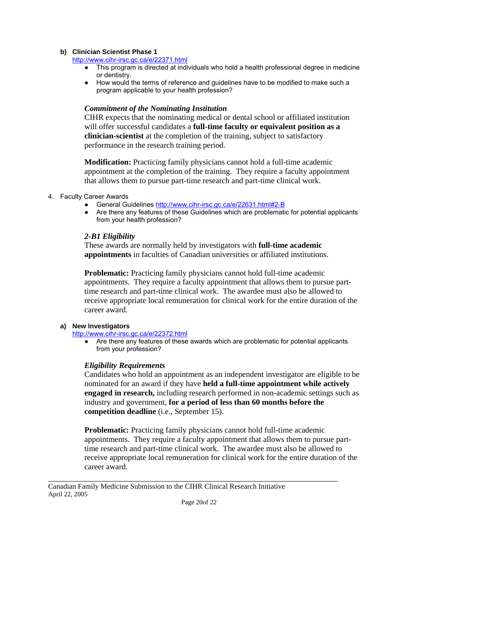#### **b) Clinician Scientist Phase 1**

<http://www.cihr-irsc.gc.ca/e/22371.html>

- ● This program is directed at individuals who hold a health professional degree in medicine or dentistry.
- How would the terms of reference and guidelines have to be modified to make such a program applicable to your health profession?

#### *Commitment of the Nominating Institution*

CIHR expects that the nominating medical or dental school or affiliated institution will offer successful candidates a **full-time faculty or equivalent position as a clinician-scientist** at the completion of the training, subject to satisfactory performance in the research training period.

 appointment at the completion of the training. They require a faculty appointment **Modification:** Practicing family physicians cannot hold a full-time academic that allows them to pursue part-time research and part-time clinical work.

- 4. Faculty Career Awards
	- General Guidelines <http://www.cihr-irsc.gc.ca/e/22631.html#2-B>
	- ● Are there any features of these Guidelines which are problematic for potential applicants from your health profession?

#### *2-B1 Eligibility*

These awards are normally held by investigators with **full-time academic appointments** in faculties of Canadian universities or affiliated institutions.

 **Problematic:** Practicing family physicians cannot hold full-time academic appointments. They require a faculty appointment that allows them to pursue part- time research and part-time clinical work. The awardee must also be allowed to receive appropriate local remuneration for clinical work for the entire duration of the career award.

#### **a) New Investigators**

 $\overline{a}$ 

#### <http://www.cihr-irsc.gc.ca/e/22372.html>

 ● Are there any features of these awards which are problematic for potential applicants from your profession?

#### *Eligibility Requirements*

 Candidates who hold an appointment as an independent investigator are eligible to be  nominated for an award if they have **held a full-time appointment while actively engaged in research,** including research performed in non-academic settings such as industry and government, **for a period of less than 60 months before the competition deadline** (i.e., September 15).

 appointments. They require a faculty appointment that allows them to pursue part- time research and part-time clinical work. The awardee must also be allowed to **Problematic:** Practicing family physicians cannot hold full-time academic receive appropriate local remuneration for clinical work for the entire duration of the career award.

 Canadian Family Medicine Submission to the CIHR Clinical Research Initiative April 22, 2005

Page 20of 22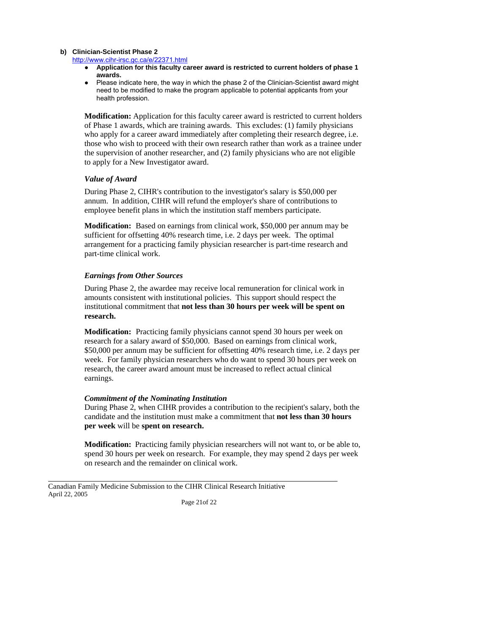#### **b) Clinician-Scientist Phase 2**

<http://www.cihr-irsc.gc.ca/e/22371.html>

- **Application for this faculty career award is restricted to current holders of phase 1 awards.**
- ● Please indicate here, the way in which the phase 2 of the Clinician-Scientist award might need to be modified to make the program applicable to potential applicants from your health profession.

**Modification:** Application for this faculty career award is restricted to current holders of Phase 1 awards, which are training awards. This excludes: (1) family physicians who apply for a career award immediately after completing their research degree, i.e. those who wish to proceed with their own research rather than work as a trainee under the supervision of another researcher, and (2) family physicians who are not eligible to apply for a New Investigator award.

### *Value of Award*

During Phase 2, CIHR's contribution to the investigator's salary is \$50,000 per annum. In addition, CIHR will refund the employer's share of contributions to employee benefit plans in which the institution staff members participate.

 **Modification:** Based on earnings from clinical work, \$50,000 per annum may be sufficient for offsetting 40% research time, i.e. 2 days per week. The optimal arrangement for a practicing family physician researcher is part-time research and part-time clinical work.

### *Earnings from Other Sources*

During Phase 2, the awardee may receive local remuneration for clinical work in amounts consistent with institutional policies. This support should respect the institutional commitment that **not less than 30 hours per week will be spent on research.** 

**Modification:** Practicing family physicians cannot spend 30 hours per week on research for a salary award of \$50,000. Based on earnings from clinical work, \$50,000 per annum may be sufficient for offsetting 40% research time, i.e. 2 days per week. For family physician researchers who do want to spend 30 hours per week on research, the career award amount must be increased to reflect actual clinical earnings.

#### *Commitment of the Nominating Institution*

 candidate and the institution must make a commitment that **not less than 30 hours**  During Phase 2, when CIHR provides a contribution to the recipient's salary, both the **per week** will be **spent on research.** 

 **Modification:** Practicing family physician researchers will not want to, or be able to, spend 30 hours per week on research. For example, they may spend 2 days per week on research and the remainder on clinical work.

 Canadian Family Medicine Submission to the CIHR Clinical Research Initiative April 22, 2005

 $\overline{a}$ 

Page 21of 22